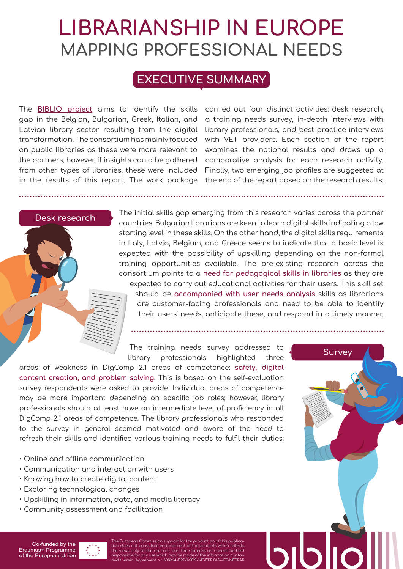# **LIBRARIANSHIP IN EUROPE MAPPING PROFESSIONAL NEEDS**

# **EXECUTIVE SUMMARY**

The **[BIBLIO project](https://www.biblio-project.eu/)** aims to identify the skills gap in the Belgian, Bulgarian, Greek, Italian, and Latvian library sector resulting from the digital transformation. The consortium has mainly focused on public libraries as these were more relevant to the partners, however, if insights could be gathered from other types of libraries, these were included in the results of this report. The work package carried out four distinct activities: desk research, a training needs survey, in-depth interviews with library professionals, and best practice interviews with VET providers. Each section of the report examines the national results and draws up a comparative analysis for each research activity. Finally, two emerging job profiles are suggested at the end of the report based on the research results.

**Survey**

## **Desk research**

The initial skills gap emerging from this research varies across the partner countries. Bulgarian librarians are keen to learn digital skills indicating a low starting level in these skills. On the other hand, the digital skills requirements in Italy, Latvia, Belgium, and Greece seems to indicate that a basic level is expected with the possibility of upskilling depending on the non-formal training opportunities available. The pre-existing research across the consortium points to a **need for pedagogical skills in libraries** as they are

expected to carry out educational activities for their users. This skill set should be **accompanied with user needs analysis** skills as librarians are customer-facing professionals and need to be able to identify their users' needs, anticipate these, and respond in a timely manner.

The training needs survey addressed to library professionals highlighted three

areas of weakness in DigComp 2.1 areas of competence: **safety, digital content creation, and problem solving**. This is based on the self-evaluation survey respondents were asked to provide. Individual areas of competence may be more important depending on specific job roles; however, library professionals should at least have an intermediate level of proficiency in all DigComp 2.1 areas of competence. The library professionals who responded to the survey in general seemed motivated and aware of the need to refresh their skills and identified various training needs to fulfil their duties:

- Online and offline communication
- Communication and interaction with users
- Knowing how to create digital content
- Exploring technological changes
- Upskilling in information, data, and media literacy
- Community assessment and facilitation

## Co-funded by the Erasmus+ Programme of the European Union

The European Commission support for the production of this publication does not constitute endorsement of the contents which reflects<br>the views only of the authors, and the Commission cannot be held<br>responsible for any use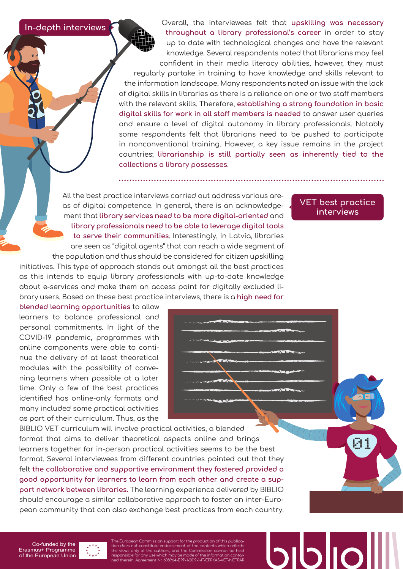**In-depth interviews**

Overall, the interviewees felt that **upskilling was necessary throughout a library professional's career** in order to stay up to date with technological changes and have the relevant knowledge. Several respondents noted that librarians may feel confident in their media literacy abilities, however, they must regularly partake in training to have knowledge and skills relevant to the information landscape. Many respondents noted an issue with the lack of digital skills in libraries as there is a reliance on one or two staff members with the relevant skills. Therefore, **establishing a strong foundation in basic digital skills for work in all staff members is needed** to answer user queries and ensure a level of digital autonomy in library professionals. Notably some respondents felt that librarians need to be pushed to participate in nonconventional training. However, a key issue remains in the project countries; **librarianship is still partially seen as inherently tied to the collections a library possesses**.

All the best practice interviews carried out address various areas of digital competence. In general, there is an acknowledgement that **library services need to be more digital-oriented** and **library professionals need to be able to leverage digital tools to serve their communities**. Interestingly, in Latvia, libraries are seen as "digital agents" that can reach a wide segment of the population and thus should be considered for citizen upskilling initiatives. This type of approach stands out amongst all the best practices

as this intends to equip library professionals with up-to-date knowledge about e-services and make them an access point for digitally excluded library users. Based on these best practice interviews, there is a **high need for** 

# **VET best practice interviews**

**blended learning opportunities** to allow learners to balance professional and personal commitments. In light of the COVID-19 pandemic, programmes with online components were able to continue the delivery of at least theoretical modules with the possibility of convening learners when possible at a later time. Only a few of the best practices identified has online-only formats and many included some practical activities as part of their curriculum. Thus, as the

BIBLIO VET curriculum will involve practical activities, a blended format that aims to deliver theoretical aspects online and brings learners together for in-person practical activities seems to be the best format. Several interviewees from different countries pointed out that they felt **the collaborative and supportive environment they fostered provided a good opportunity for learners to learn from each other and create a support network between libraries.** The learning experience delivered by BIBLIO should encourage a similar collaborative approach to foster an inter-European community that can also exchange best practices from each country.

Co-funded by the Erasmus+ Programme of the European Union

The European Commission support for the production of this publica-tion does not constitute endorsement of the contents which reflects the views only of the authors, and the Commission cannot be held<br>responsible for any use which may be made of the information contai-<br>ned therein. Agreement Nr 608964-EPP-1-2019-1-IT-EPPKA3-VET-NETPAR

21